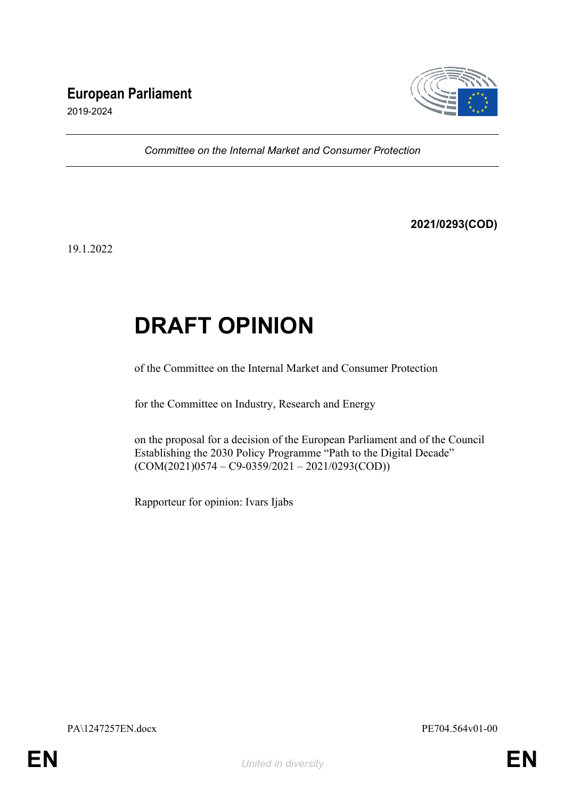# **European Parliament**



2019-2024

*Committee on the Internal Market and Consumer Protection*

**2021/0293(COD)**

19.1.2022

# **DRAFT OPINION**

of the Committee on the Internal Market and Consumer Protection

for the Committee on Industry, Research and Energy

on the proposal for a decision of the European Parliament and of the Council Establishing the 2030 Policy Programme "Path to the Digital Decade"  $(COM(2021)0574 - C9 - 0359/2021 - 2021/0293(COD))$ 

Rapporteur for opinion: Ivars Ijabs

PA\1247257EN.docx PE704.564v01-00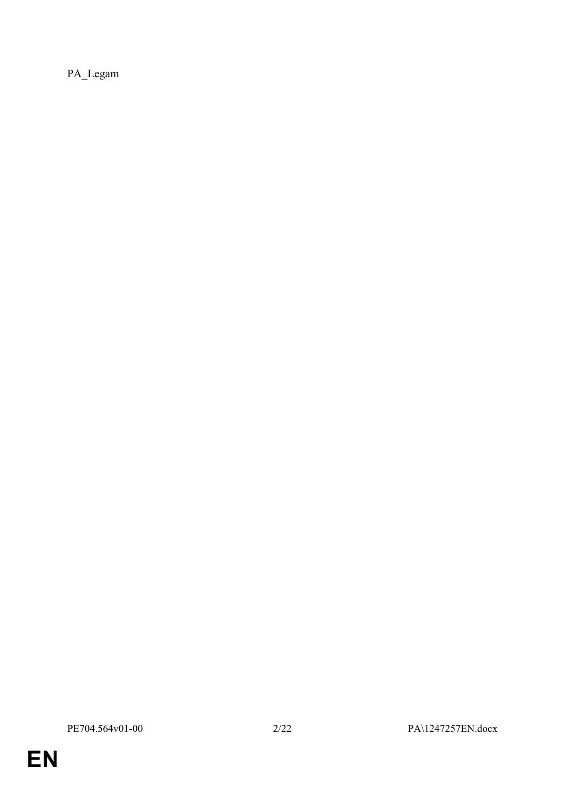PA\_Legam

**EN**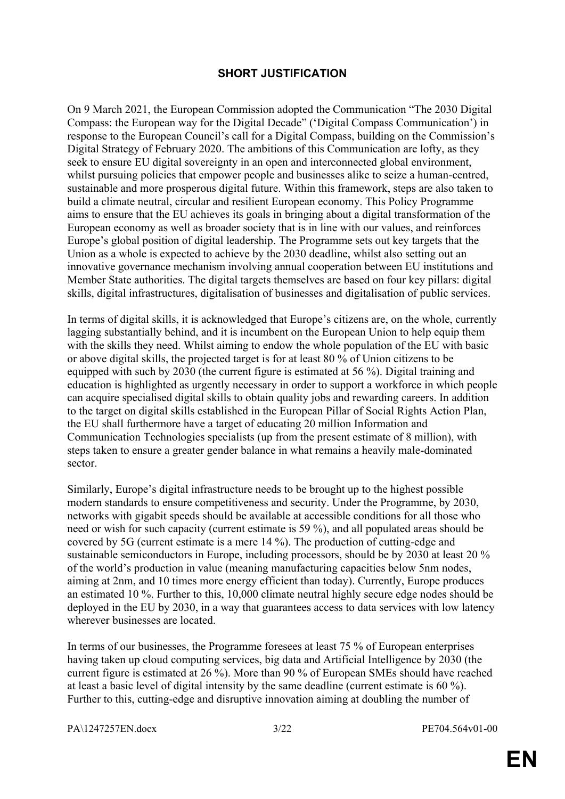# **SHORT JUSTIFICATION**

On 9 March 2021, the European Commission adopted the Communication "The 2030 Digital Compass: the European way for the Digital Decade" ('Digital Compass Communication') in response to the European Council's call for a Digital Compass, building on the Commission's Digital Strategy of February 2020. The ambitions of this Communication are lofty, as they seek to ensure EU digital sovereignty in an open and interconnected global environment, whilst pursuing policies that empower people and businesses alike to seize a human-centred, sustainable and more prosperous digital future. Within this framework, steps are also taken to build a climate neutral, circular and resilient European economy. This Policy Programme aims to ensure that the EU achieves its goals in bringing about a digital transformation of the European economy as well as broader society that is in line with our values, and reinforces Europe's global position of digital leadership. The Programme sets out key targets that the Union as a whole is expected to achieve by the 2030 deadline, whilst also setting out an innovative governance mechanism involving annual cooperation between EU institutions and Member State authorities. The digital targets themselves are based on four key pillars: digital skills, digital infrastructures, digitalisation of businesses and digitalisation of public services.

In terms of digital skills, it is acknowledged that Europe's citizens are, on the whole, currently lagging substantially behind, and it is incumbent on the European Union to help equip them with the skills they need. Whilst aiming to endow the whole population of the EU with basic or above digital skills, the projected target is for at least 80 % of Union citizens to be equipped with such by 2030 (the current figure is estimated at 56 %). Digital training and education is highlighted as urgently necessary in order to support a workforce in which people can acquire specialised digital skills to obtain quality jobs and rewarding careers. In addition to the target on digital skills established in the European Pillar of Social Rights Action Plan, the EU shall furthermore have a target of educating 20 million Information and Communication Technologies specialists (up from the present estimate of 8 million), with steps taken to ensure a greater gender balance in what remains a heavily male-dominated sector.

Similarly, Europe's digital infrastructure needs to be brought up to the highest possible modern standards to ensure competitiveness and security. Under the Programme, by 2030, networks with gigabit speeds should be available at accessible conditions for all those who need or wish for such capacity (current estimate is 59 %), and all populated areas should be covered by 5G (current estimate is a mere 14 %). The production of cutting-edge and sustainable semiconductors in Europe, including processors, should be by 2030 at least 20 % of the world's production in value (meaning manufacturing capacities below 5nm nodes, aiming at 2nm, and 10 times more energy efficient than today). Currently, Europe produces an estimated 10 %. Further to this, 10,000 climate neutral highly secure edge nodes should be deployed in the EU by 2030, in a way that guarantees access to data services with low latency wherever businesses are located.

In terms of our businesses, the Programme foresees at least 75 % of European enterprises having taken up cloud computing services, big data and Artificial Intelligence by 2030 (the current figure is estimated at 26 %). More than 90 % of European SMEs should have reached at least a basic level of digital intensity by the same deadline (current estimate is 60 %). Further to this, cutting-edge and disruptive innovation aiming at doubling the number of

PA\1247257EN.docx 3/22 PE704.564v01-00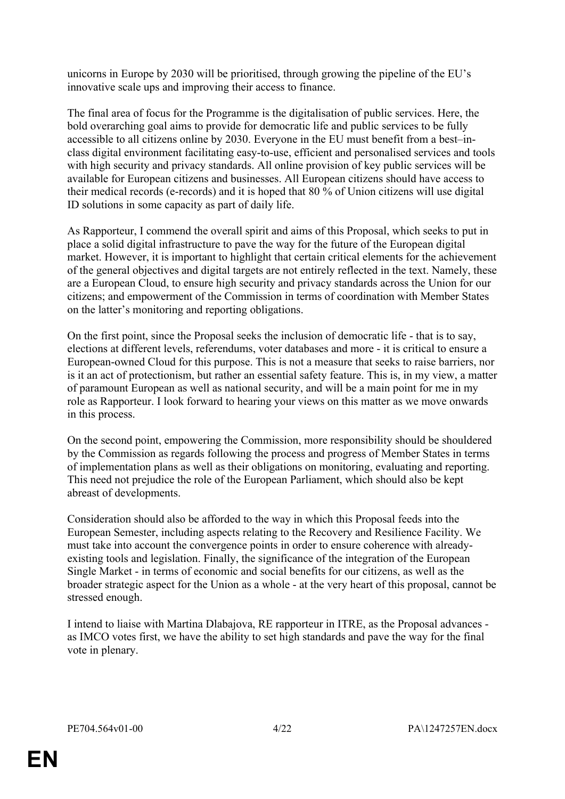unicorns in Europe by 2030 will be prioritised, through growing the pipeline of the EU's innovative scale ups and improving their access to finance.

The final area of focus for the Programme is the digitalisation of public services. Here, the bold overarching goal aims to provide for democratic life and public services to be fully accessible to all citizens online by 2030. Everyone in the EU must benefit from a best–inclass digital environment facilitating easy-to-use, efficient and personalised services and tools with high security and privacy standards. All online provision of key public services will be available for European citizens and businesses. All European citizens should have access to their medical records (e-records) and it is hoped that 80 % of Union citizens will use digital ID solutions in some capacity as part of daily life.

As Rapporteur, I commend the overall spirit and aims of this Proposal, which seeks to put in place a solid digital infrastructure to pave the way for the future of the European digital market. However, it is important to highlight that certain critical elements for the achievement of the general objectives and digital targets are not entirely reflected in the text. Namely, these are a European Cloud, to ensure high security and privacy standards across the Union for our citizens; and empowerment of the Commission in terms of coordination with Member States on the latter's monitoring and reporting obligations.

On the first point, since the Proposal seeks the inclusion of democratic life - that is to say, elections at different levels, referendums, voter databases and more - it is critical to ensure a European-owned Cloud for this purpose. This is not a measure that seeks to raise barriers, nor is it an act of protectionism, but rather an essential safety feature. This is, in my view, a matter of paramount European as well as national security, and will be a main point for me in my role as Rapporteur. I look forward to hearing your views on this matter as we move onwards in this process.

On the second point, empowering the Commission, more responsibility should be shouldered by the Commission as regards following the process and progress of Member States in terms of implementation plans as well as their obligations on monitoring, evaluating and reporting. This need not prejudice the role of the European Parliament, which should also be kept abreast of developments.

Consideration should also be afforded to the way in which this Proposal feeds into the European Semester, including aspects relating to the Recovery and Resilience Facility. We must take into account the convergence points in order to ensure coherence with alreadyexisting tools and legislation. Finally, the significance of the integration of the European Single Market - in terms of economic and social benefits for our citizens, as well as the broader strategic aspect for the Union as a whole - at the very heart of this proposal, cannot be stressed enough.

I intend to liaise with Martina Dlabajova, RE rapporteur in ITRE, as the Proposal advances as IMCO votes first, we have the ability to set high standards and pave the way for the final vote in plenary.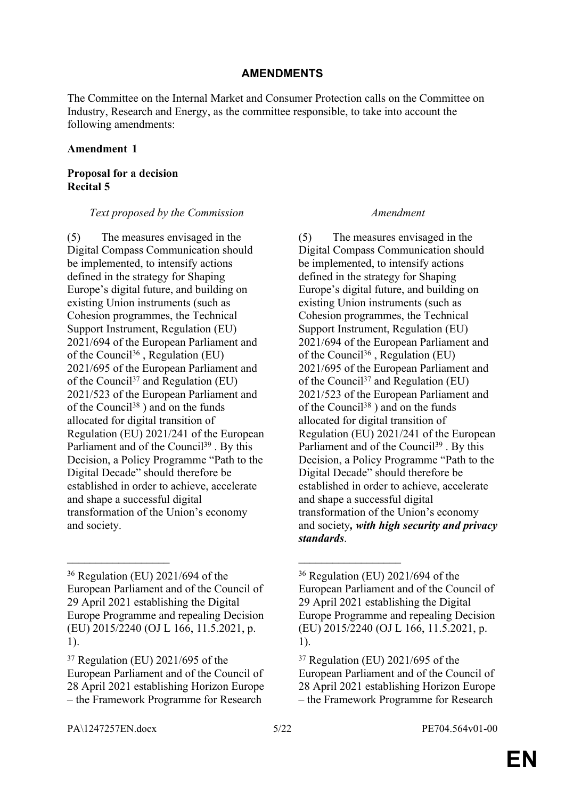# **AMENDMENTS**

The Committee on the Internal Market and Consumer Protection calls on the Committee on Industry, Research and Energy, as the committee responsible, to take into account the following amendments:

#### **Amendment 1**

# **Proposal for a decision Recital 5**

## *Text proposed by the Commission Amendment*

(5) The measures envisaged in the Digital Compass Communication should be implemented, to intensify actions defined in the strategy for Shaping Europe's digital future, and building on existing Union instruments (such as Cohesion programmes, the Technical Support Instrument, Regulation (EU) 2021/694 of the European Parliament and of the Council<sup>36</sup>, Regulation (EU) 2021/695 of the European Parliament and of the Council<sup>37</sup> and Regulation (EU) 2021/523 of the European Parliament and of the Council<sup>38</sup>) and on the funds allocated for digital transition of Regulation (EU) 2021/241 of the European Parliament and of the Council<sup>39</sup>. By this Decision, a Policy Programme "Path to the Digital Decade" should therefore be established in order to achieve, accelerate and shape a successful digital transformation of the Union's economy and society.

 $\mathcal{L}_\text{max}$  , and the contract of the contract of the contract of the contract of the contract of the contract of

(5) The measures envisaged in the Digital Compass Communication should be implemented, to intensify actions defined in the strategy for Shaping Europe's digital future, and building on existing Union instruments (such as Cohesion programmes, the Technical Support Instrument, Regulation (EU) 2021/694 of the European Parliament and of the Council<sup>36</sup>, Regulation (EU) 2021/695 of the European Parliament and of the Council<sup>37</sup> and Regulation (EU) 2021/523 of the European Parliament and of the Council<sup>38</sup>) and on the funds allocated for digital transition of Regulation (EU) 2021/241 of the European Parliament and of the Council<sup>39</sup>. By this Decision, a Policy Programme "Path to the Digital Decade" should therefore be established in order to achieve, accelerate and shape a successful digital transformation of the Union's economy and society*, with high security and privacy standards*.

<sup>36</sup> Regulation (EU) 2021/694 of the European Parliament and of the Council of 29 April 2021 establishing the Digital Europe Programme and repealing Decision (EU) 2015/2240 (OJ L 166, 11.5.2021, p. 1).

<sup>37</sup> Regulation (EU) 2021/695 of the European Parliament and of the Council of 28 April 2021 establishing Horizon Europe – the Framework Programme for Research

<sup>36</sup> Regulation (EU) 2021/694 of the European Parliament and of the Council of 29 April 2021 establishing the Digital Europe Programme and repealing Decision (EU) 2015/2240 (OJ L 166, 11.5.2021, p. 1).

<sup>37</sup> Regulation (EU) 2021/695 of the European Parliament and of the Council of 28 April 2021 establishing Horizon Europe – the Framework Programme for Research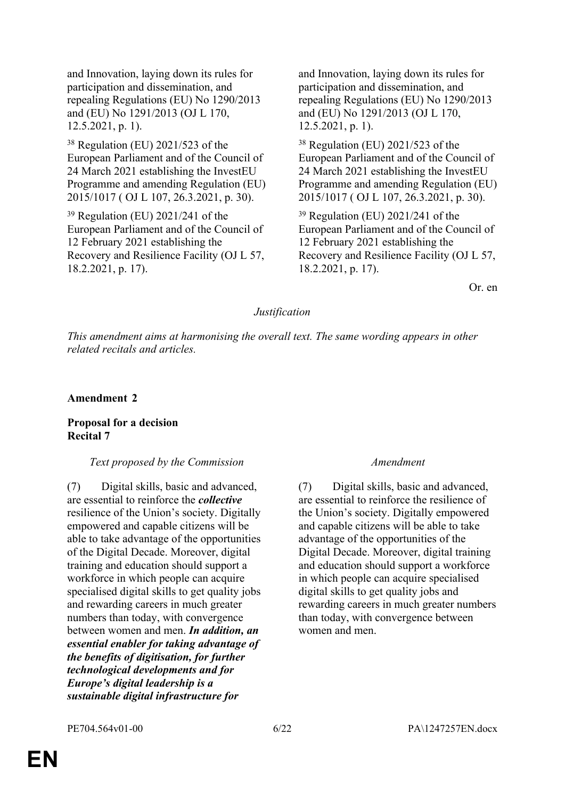and Innovation, laying down its rules for participation and dissemination, and repealing Regulations (EU) No 1290/2013 and (EU) No 1291/2013 (OJ L 170, 12.5.2021, p. 1).

<sup>38</sup> Regulation (EU) 2021/523 of the European Parliament and of the Council of 24 March 2021 establishing the InvestEU Programme and amending Regulation (EU) 2015/1017 ( OJ L 107, 26.3.2021, p. 30).

<sup>39</sup> Regulation (EU) 2021/241 of the European Parliament and of the Council of 12 February 2021 establishing the Recovery and Resilience Facility (OJ L 57, 18.2.2021, p. 17).

and Innovation, laying down its rules for participation and dissemination, and repealing Regulations (EU) No 1290/2013 and (EU) No 1291/2013 (OJ L 170, 12.5.2021, p. 1).

<sup>38</sup> Regulation (EU) 2021/523 of the European Parliament and of the Council of 24 March 2021 establishing the InvestEU Programme and amending Regulation (EU) 2015/1017 ( OJ L 107, 26.3.2021, p. 30).

<sup>39</sup> Regulation (EU) 2021/241 of the European Parliament and of the Council of 12 February 2021 establishing the Recovery and Resilience Facility (OJ L 57, 18.2.2021, p. 17).

Or. en

#### *Justification*

*This amendment aims at harmonising the overall text. The same wording appears in other related recitals and articles.*

**Amendment 2**

#### **Proposal for a decision Recital 7**

#### *Text proposed by the Commission Amendment*

(7) Digital skills, basic and advanced, are essential to reinforce the *collective* resilience of the Union's society. Digitally empowered and capable citizens will be able to take advantage of the opportunities of the Digital Decade. Moreover, digital training and education should support a workforce in which people can acquire specialised digital skills to get quality jobs and rewarding careers in much greater numbers than today, with convergence between women and men. *In addition, an essential enabler for taking advantage of the benefits of digitisation, for further technological developments and for Europe's digital leadership is a sustainable digital infrastructure for* 

(7) Digital skills, basic and advanced, are essential to reinforce the resilience of the Union's society. Digitally empowered and capable citizens will be able to take advantage of the opportunities of the Digital Decade. Moreover, digital training and education should support a workforce in which people can acquire specialised digital skills to get quality jobs and rewarding careers in much greater numbers than today, with convergence between women and men.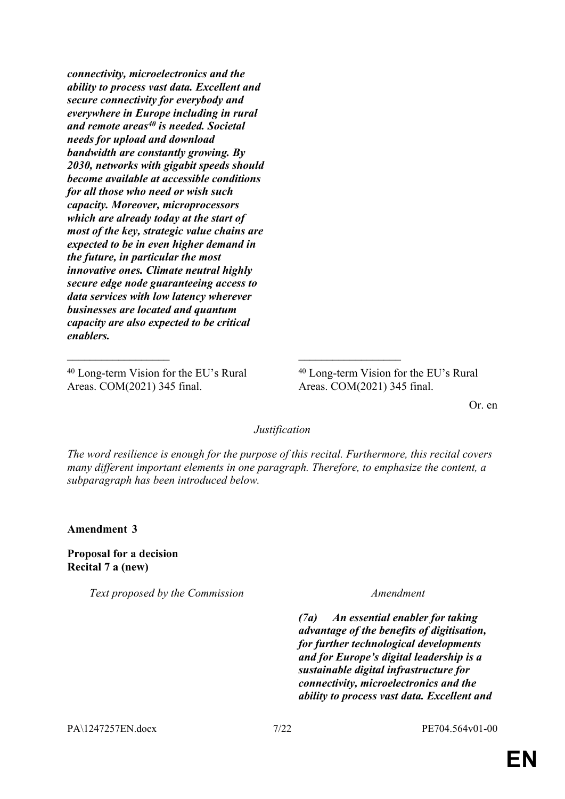*connectivity, microelectronics and the ability to process vast data. Excellent and secure connectivity for everybody and everywhere in Europe including in rural and remote areas<sup>40</sup> is needed. Societal needs for upload and download bandwidth are constantly growing. By 2030, networks with gigabit speeds should become available at accessible conditions for all those who need or wish such capacity. Moreover, microprocessors which are already today at the start of most of the key, strategic value chains are expected to be in even higher demand in the future, in particular the most innovative ones. Climate neutral highly secure edge node guaranteeing access to data services with low latency wherever businesses are located and quantum capacity are also expected to be critical enablers.*

<sup>40</sup> Long-term Vision for the EU's Rural Areas. COM(2021) 345 final.

<sup>40</sup> Long-term Vision for the EU's Rural Areas. COM(2021) 345 final.

Or. en

*Justification*

 $\mathcal{L}_\text{max}$  , and the contract of the contract of the contract of the contract of the contract of the contract of

*The word resilience is enough for the purpose of this recital. Furthermore, this recital covers many different important elements in one paragraph. Therefore, to emphasize the content, a subparagraph has been introduced below.*

**Amendment 3**

**Proposal for a decision Recital 7 a (new)**

*Text proposed by the Commission Amendment*

*(7a) An essential enabler for taking advantage of the benefits of digitisation, for further technological developments and for Europe's digital leadership is a sustainable digital infrastructure for connectivity, microelectronics and the ability to process vast data. Excellent and* 

PA\1247257EN.docx 7/22 PE704.564v01-00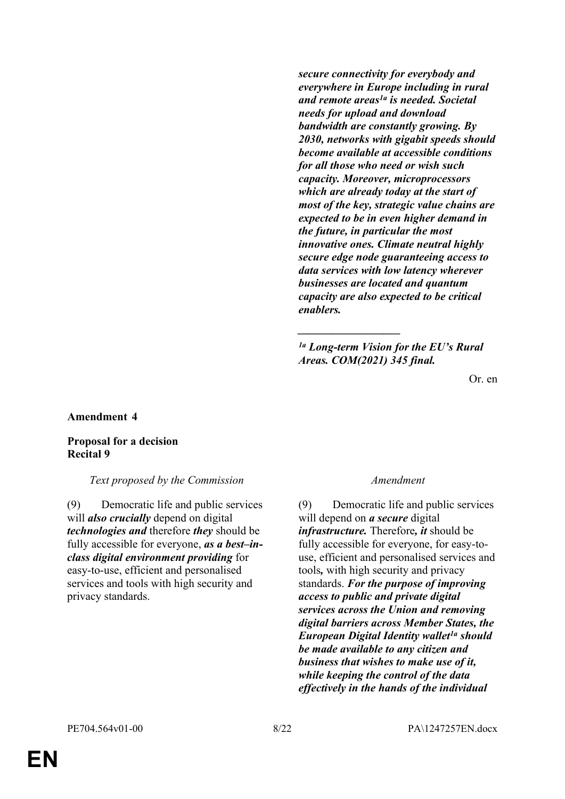*secure connectivity for everybody and everywhere in Europe including in rural and remote areas1a is needed. Societal needs for upload and download bandwidth are constantly growing. By 2030, networks with gigabit speeds should become available at accessible conditions for all those who need or wish such capacity. Moreover, microprocessors which are already today at the start of most of the key, strategic value chains are expected to be in even higher demand in the future, in particular the most innovative ones. Climate neutral highly secure edge node guaranteeing access to data services with low latency wherever businesses are located and quantum capacity are also expected to be critical enablers.*

*1a Long-term Vision for the EU's Rural Areas. COM(2021) 345 final.*

*\_\_\_\_\_\_\_\_\_\_\_\_\_\_\_\_\_\_*

Or. en

#### **Amendment 4**

### **Proposal for a decision Recital 9**

#### *Text proposed by the Commission Amendment*

(9) Democratic life and public services will *also crucially* depend on digital *technologies and* therefore *they* should be fully accessible for everyone, *as a best–inclass digital environment providing* for easy-to-use, efficient and personalised services and tools with high security and privacy standards.

(9) Democratic life and public services will depend on *a secure* digital *infrastructure.* Therefore*, it* should be fully accessible for everyone, for easy-touse, efficient and personalised services and tools*,* with high security and privacy standards. *For the purpose of improving access to public and private digital services across the Union and removing digital barriers across Member States, the European Digital Identity wallet1a should be made available to any citizen and business that wishes to make use of it, while keeping the control of the data effectively in the hands of the individual*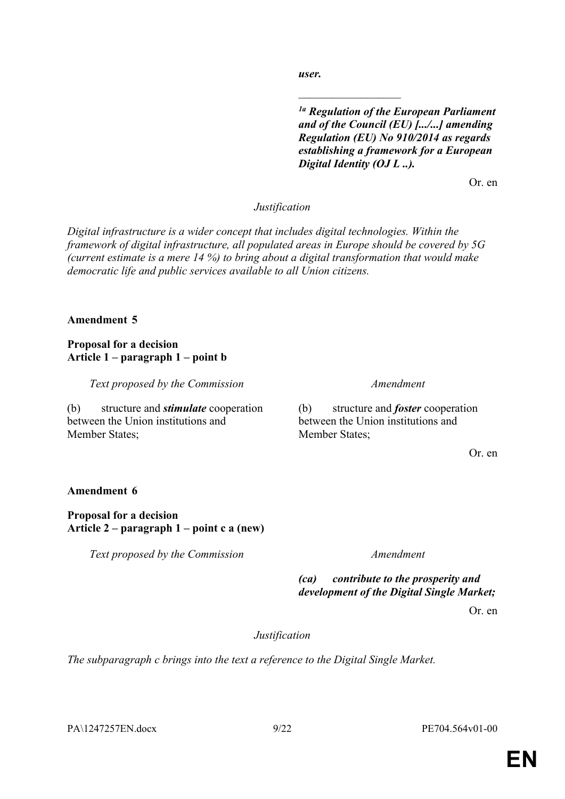PA\1247257EN.docx 9/22 PE704.564v01-00

*user.*

 $\overline{\phantom{a}}$  , where  $\overline{\phantom{a}}$ 

*1a Regulation of the European Parliament and of the Council (EU) [.../...] amending Regulation (EU) No 910/2014 as regards establishing a framework for a European Digital Identity (OJ L ..).*

Or. en

# *Justification*

*Digital infrastructure is a wider concept that includes digital technologies. Within the framework of digital infrastructure, all populated areas in Europe should be covered by 5G (current estimate is a mere 14 %) to bring about a digital transformation that would make democratic life and public services available to all Union citizens.*

# **Amendment 5**

# **Proposal for a decision Article 1 – paragraph 1 – point b**

*Text proposed by the Commission Amendment*

(b) structure and *stimulate* cooperation between the Union institutions and Member States:

(b) structure and *foster* cooperation between the Union institutions and Member States:

Or. en

# **Amendment 6**

# **Proposal for a decision Article 2 – paragraph 1 – point c a (new)**

*Text proposed by the Commission Amendment*

*(ca) contribute to the prosperity and development of the Digital Single Market;*

Or. en

# *Justification*

*The subparagraph c brings into the text a reference to the Digital Single Market.*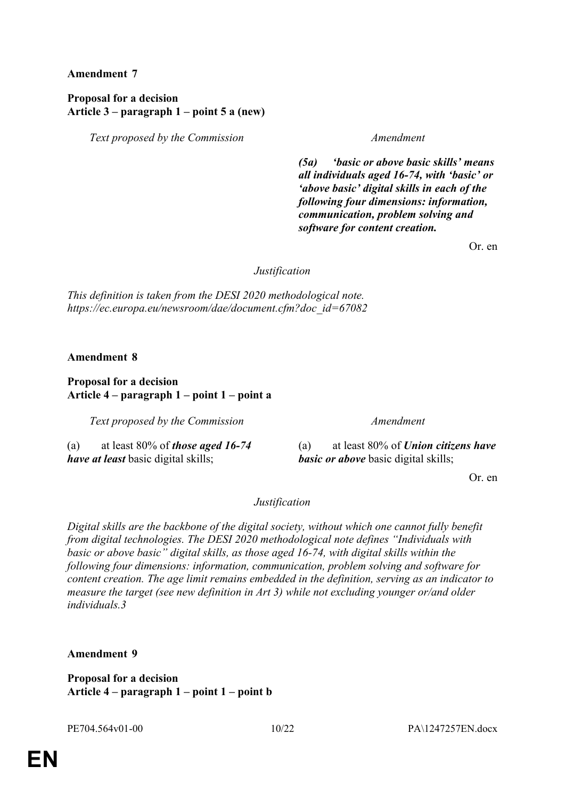**Amendment 7**

# **Proposal for a decision Article 3 – paragraph 1 – point 5 a (new)**

*Text proposed by the Commission Amendment*

*(5a) 'basic or above basic skills' means all individuals aged 16-74, with 'basic' or 'above basic' digital skills in each of the following four dimensions: information, communication, problem solving and software for content creation.*

Or. en

*Justification*

*This definition is taken from the DESI 2020 methodological note. https://ec.europa.eu/newsroom/dae/document.cfm?doc\_id=67082*

**Amendment 8**

# **Proposal for a decision Article 4 – paragraph 1 – point 1 – point a**

*Text proposed by the Commission Amendment*

(a) at least 80% of *those aged 16-74 have at least* basic digital skills;

(a) at least 80% of *Union citizens have basic or above* basic digital skills;

Or. en

# *Justification*

*Digital skills are the backbone of the digital society, without which one cannot fully benefit from digital technologies. The DESI 2020 methodological note defines "Individuals with basic or above basic" digital skills, as those aged 16-74, with digital skills within the following four dimensions: information, communication, problem solving and software for content creation. The age limit remains embedded in the definition, serving as an indicator to measure the target (see new definition in Art 3) while not excluding younger or/and older individuals.3*

**Amendment 9**

**Proposal for a decision Article 4 – paragraph 1 – point 1 – point b**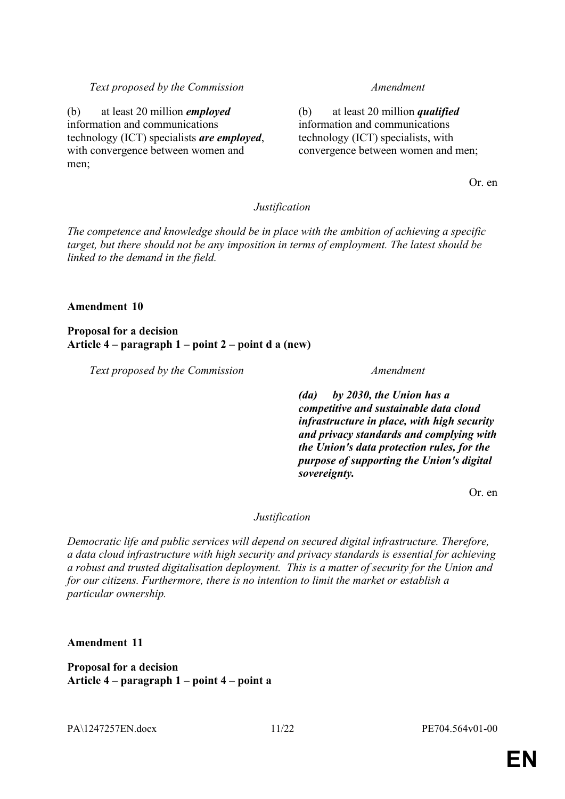## *Text proposed by the Commission Amendment*

(b) at least 20 million *employed* information and communications technology (ICT) specialists *are employed*, with convergence between women and men;

(b) at least 20 million *qualified* information and communications technology (ICT) specialists, with convergence between women and men;

Or. en

#### *Justification*

*The competence and knowledge should be in place with the ambition of achieving a specific target, but there should not be any imposition in terms of employment. The latest should be linked to the demand in the field.*

#### **Amendment 10**

**Proposal for a decision Article 4 – paragraph 1 – point 2 – point d a (new)**

*Text proposed by the Commission Amendment*

*(da) by 2030, the Union has a competitive and sustainable data cloud infrastructure in place, with high security and privacy standards and complying with the Union's data protection rules, for the purpose of supporting the Union's digital sovereignty.*

Or. en

## *Justification*

*Democratic life and public services will depend on secured digital infrastructure. Therefore, a data cloud infrastructure with high security and privacy standards is essential for achieving a robust and trusted digitalisation deployment. This is a matter of security for the Union and for our citizens. Furthermore, there is no intention to limit the market or establish a particular ownership.*

**Amendment 11**

**Proposal for a decision Article 4 – paragraph 1 – point 4 – point a**

PA\1247257EN.docx 11/22 PE704.564v01-00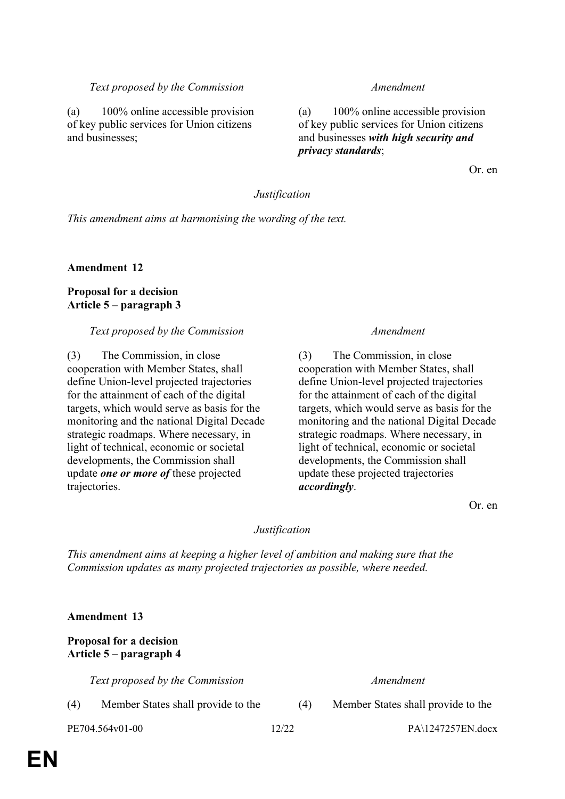# *Text proposed by the Commission Amendment*

(a) 100% online accessible provision of key public services for Union citizens and businesses;

(a) 100% online accessible provision of key public services for Union citizens and businesses *with high security and privacy standards*;

Or. en

### *Justification*

*This amendment aims at harmonising the wording of the text.*

**Amendment 12**

# **Proposal for a decision Article 5 – paragraph 3**

## *Text proposed by the Commission Amendment*

(3) The Commission, in close cooperation with Member States, shall define Union-level projected trajectories for the attainment of each of the digital targets, which would serve as basis for the monitoring and the national Digital Decade strategic roadmaps. Where necessary, in light of technical, economic or societal developments, the Commission shall update *one or more of* these projected trajectories.

(3) The Commission, in close cooperation with Member States, shall define Union-level projected trajectories for the attainment of each of the digital targets, which would serve as basis for the monitoring and the national Digital Decade strategic roadmaps. Where necessary, in light of technical, economic or societal developments, the Commission shall update these projected trajectories *accordingly*.

Or. en

## *Justification*

*This amendment aims at keeping a higher level of ambition and making sure that the Commission updates as many projected trajectories as possible, where needed.*

**Amendment 13**

# **Proposal for a decision Article 5 – paragraph 4**

*Text proposed by the Commission Amendment*

(4) Member States shall provide to the (4) Member States shall provide to the

PE704.564v01-00 12/22 PA\1247257EN.docx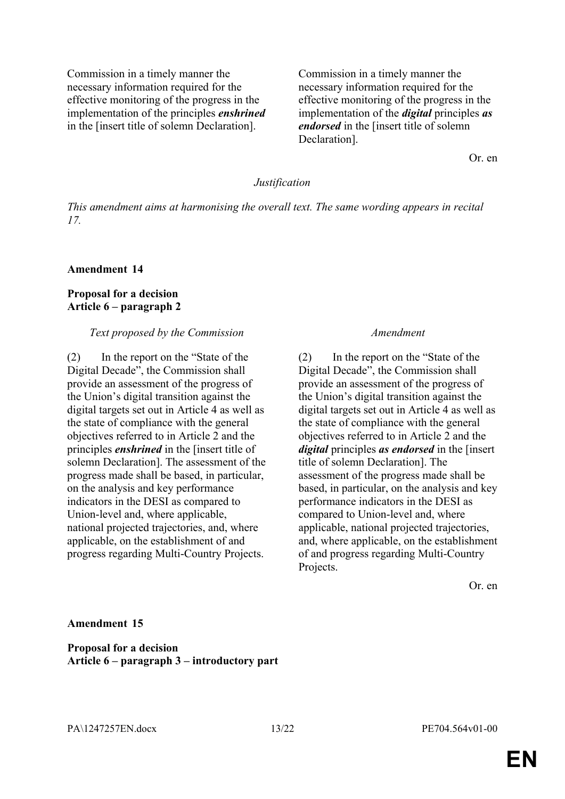Commission in a timely manner the necessary information required for the effective monitoring of the progress in the implementation of the principles *enshrined* in the [insert title of solemn Declaration].

Commission in a timely manner the necessary information required for the effective monitoring of the progress in the implementation of the *digital* principles *as endorsed* in the [insert title of solemn Declaration].

Or. en

#### *Justification*

*This amendment aims at harmonising the overall text. The same wording appears in recital 17.*

#### **Amendment 14**

## **Proposal for a decision Article 6 – paragraph 2**

#### *Text proposed by the Commission Amendment*

(2) In the report on the "State of the Digital Decade", the Commission shall provide an assessment of the progress of the Union's digital transition against the digital targets set out in Article 4 as well as the state of compliance with the general objectives referred to in Article 2 and the principles *enshrined* in the [insert title of solemn Declaration]. The assessment of the progress made shall be based, in particular, on the analysis and key performance indicators in the DESI as compared to Union-level and, where applicable, national projected trajectories, and, where applicable, on the establishment of and progress regarding Multi-Country Projects.

(2) In the report on the "State of the Digital Decade", the Commission shall provide an assessment of the progress of the Union's digital transition against the digital targets set out in Article 4 as well as the state of compliance with the general objectives referred to in Article 2 and the *digital* principles *as endorsed* in the [insert title of solemn Declaration]. The assessment of the progress made shall be based, in particular, on the analysis and key performance indicators in the DESI as compared to Union-level and, where applicable, national projected trajectories, and, where applicable, on the establishment of and progress regarding Multi-Country Projects.

Or. en

#### **Amendment 15**

**Proposal for a decision Article 6 – paragraph 3 – introductory part**

PA\1247257EN.docx 13/22 PE704.564v01-00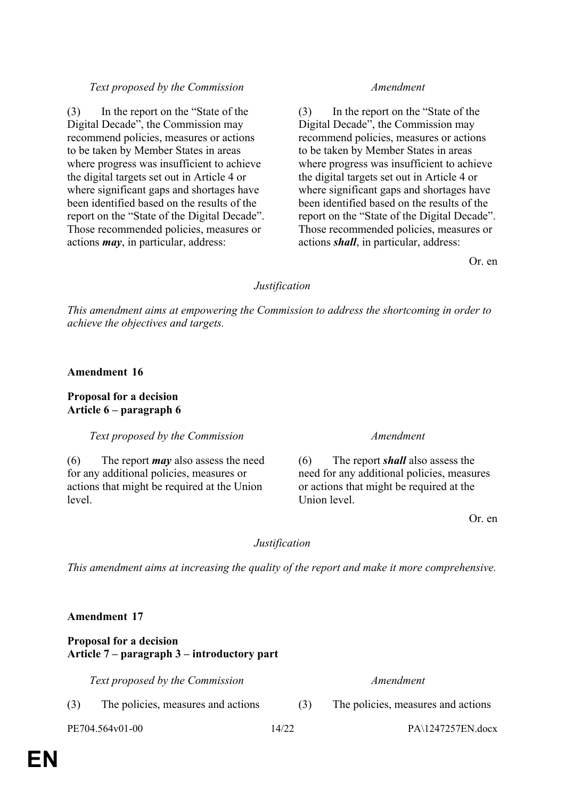# *Text proposed by the Commission Amendment*

(3) In the report on the "State of the Digital Decade", the Commission may recommend policies, measures or actions to be taken by Member States in areas where progress was insufficient to achieve the digital targets set out in Article 4 or where significant gaps and shortages have been identified based on the results of the report on the "State of the Digital Decade". Those recommended policies, measures or actions *may*, in particular, address:

(3) In the report on the "State of the Digital Decade", the Commission may recommend policies, measures or actions to be taken by Member States in areas where progress was insufficient to achieve the digital targets set out in Article 4 or where significant gaps and shortages have been identified based on the results of the report on the "State of the Digital Decade". Those recommended policies, measures or actions *shall*, in particular, address:

Or. en

# *Justification*

*This amendment aims at empowering the Commission to address the shortcoming in order to achieve the objectives and targets.*

**Amendment 16**

**Proposal for a decision Article 6 – paragraph 6**

*Text proposed by the Commission Amendment*

(6) The report *may* also assess the need for any additional policies, measures or actions that might be required at the Union level.

(6) The report *shall* also assess the need for any additional policies, measures or actions that might be required at the Union level.

Or. en

# *Justification*

*This amendment aims at increasing the quality of the report and make it more comprehensive.*

# **Amendment 17**

# **Proposal for a decision Article 7 – paragraph 3 – introductory part**

*Text proposed by the Commission Amendment*

- (3) The policies, measures and actions (3) The policies, measures and actions
- 

PE704.564v01-00 14/22 PA\1247257EN.docx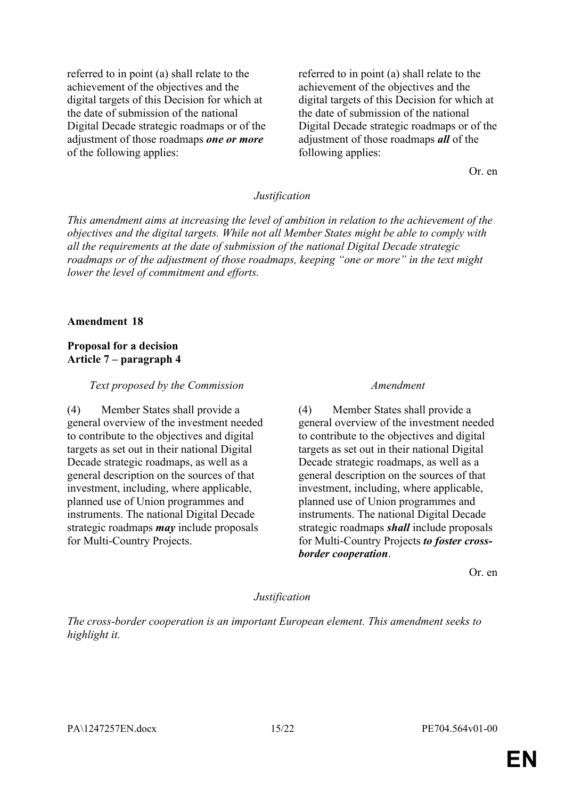referred to in point (a) shall relate to the achievement of the objectives and the digital targets of this Decision for which at the date of submission of the national Digital Decade strategic roadmaps or of the adjustment of those roadmaps *one or more* of the following applies:

referred to in point (a) shall relate to the achievement of the objectives and the digital targets of this Decision for which at the date of submission of the national Digital Decade strategic roadmaps or of the adjustment of those roadmaps *all* of the following applies:

Or. en

#### *Justification*

*This amendment aims at increasing the level of ambition in relation to the achievement of the objectives and the digital targets. While not all Member States might be able to comply with all the requirements at the date of submission of the national Digital Decade strategic roadmaps or of the adjustment of those roadmaps, keeping "one or more" in the text might lower the level of commitment and efforts.*

#### **Amendment 18**

#### **Proposal for a decision Article 7 – paragraph 4**

#### *Text proposed by the Commission Amendment*

(4) Member States shall provide a general overview of the investment needed to contribute to the objectives and digital targets as set out in their national Digital Decade strategic roadmaps, as well as a general description on the sources of that investment, including, where applicable, planned use of Union programmes and instruments. The national Digital Decade strategic roadmaps *may* include proposals for Multi-Country Projects.

(4) Member States shall provide a general overview of the investment needed to contribute to the objectives and digital targets as set out in their national Digital Decade strategic roadmaps, as well as a general description on the sources of that investment, including, where applicable, planned use of Union programmes and instruments. The national Digital Decade strategic roadmaps *shall* include proposals for Multi-Country Projects *to foster crossborder cooperation*.

Or. en

#### *Justification*

*The cross-border cooperation is an important European element. This amendment seeks to highlight it.*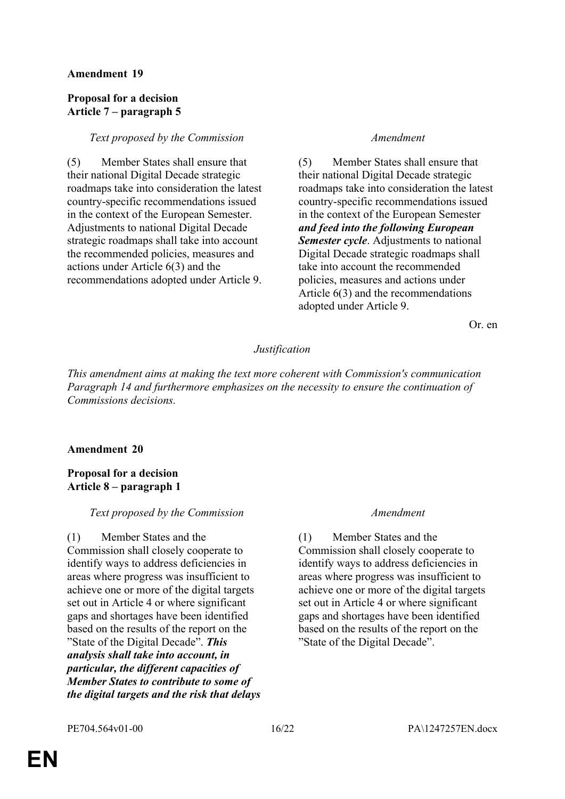### **Amendment 19**

### **Proposal for a decision Article 7 – paragraph 5**

#### *Text proposed by the Commission Amendment*

(5) Member States shall ensure that their national Digital Decade strategic roadmaps take into consideration the latest country-specific recommendations issued in the context of the European Semester. Adjustments to national Digital Decade strategic roadmaps shall take into account the recommended policies, measures and actions under Article 6(3) and the recommendations adopted under Article 9.

(5) Member States shall ensure that their national Digital Decade strategic roadmaps take into consideration the latest country-specific recommendations issued in the context of the European Semester *and feed into the following European Semester cycle*. Adjustments to national Digital Decade strategic roadmaps shall take into account the recommended policies, measures and actions under Article 6(3) and the recommendations adopted under Article 9.

Or. en

# *Justification*

*This amendment aims at making the text more coherent with Commission's communication Paragraph 14 and furthermore emphasizes on the necessity to ensure the continuation of Commissions decisions.*

## **Amendment 20**

# **Proposal for a decision Article 8 – paragraph 1**

## *Text proposed by the Commission Amendment*

(1) Member States and the Commission shall closely cooperate to identify ways to address deficiencies in areas where progress was insufficient to achieve one or more of the digital targets set out in Article 4 or where significant gaps and shortages have been identified based on the results of the report on the "State of the Digital Decade". *This analysis shall take into account, in particular, the different capacities of Member States to contribute to some of the digital targets and the risk that delays* 

(1) Member States and the Commission shall closely cooperate to identify ways to address deficiencies in areas where progress was insufficient to achieve one or more of the digital targets set out in Article 4 or where significant gaps and shortages have been identified based on the results of the report on the "State of the Digital Decade".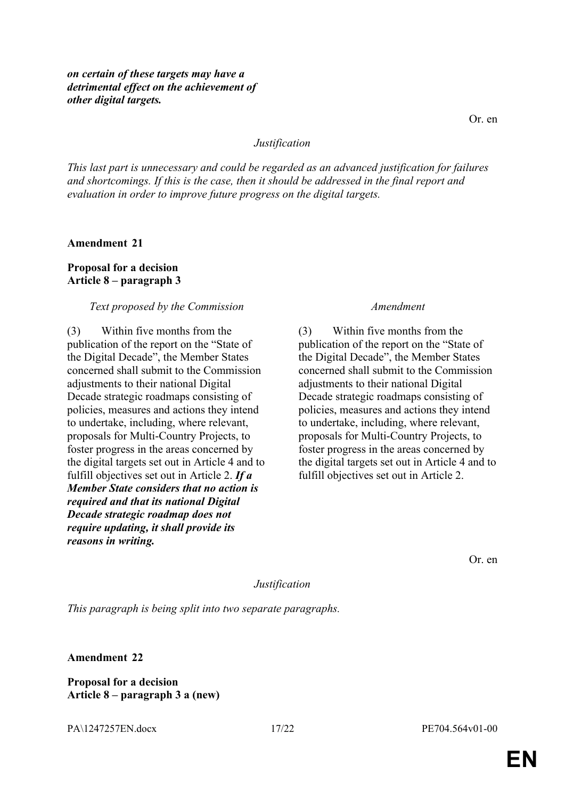#### *Justification*

*This last part is unnecessary and could be regarded as an advanced justification for failures and shortcomings. If this is the case, then it should be addressed in the final report and evaluation in order to improve future progress on the digital targets.*

**Amendment 21**

## **Proposal for a decision Article 8 – paragraph 3**

#### *Text proposed by the Commission Amendment*

(3) Within five months from the publication of the report on the "State of the Digital Decade", the Member States concerned shall submit to the Commission adjustments to their national Digital Decade strategic roadmaps consisting of policies, measures and actions they intend to undertake, including, where relevant, proposals for Multi-Country Projects, to foster progress in the areas concerned by the digital targets set out in Article 4 and to fulfill objectives set out in Article 2. *If a Member State considers that no action is required and that its national Digital Decade strategic roadmap does not require updating, it shall provide its reasons in writing.*

(3) Within five months from the publication of the report on the "State of the Digital Decade", the Member States concerned shall submit to the Commission adjustments to their national Digital Decade strategic roadmaps consisting of policies, measures and actions they intend to undertake, including, where relevant, proposals for Multi-Country Projects, to foster progress in the areas concerned by the digital targets set out in Article 4 and to fulfill objectives set out in Article 2.

Or. en

*Justification*

*This paragraph is being split into two separate paragraphs.*

**Amendment 22**

**Proposal for a decision Article 8 – paragraph 3 a (new)**

PA\1247257EN.docx 17/22 PE704.564v01-00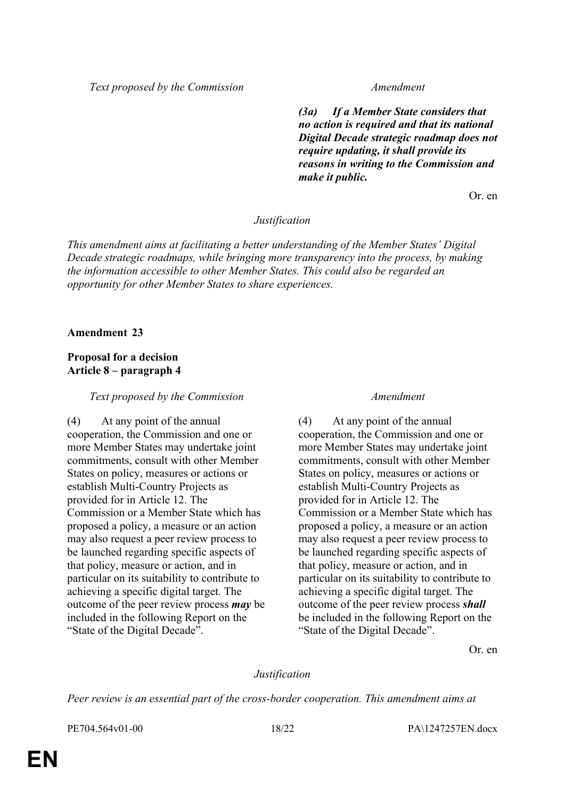*Text proposed by the Commission Amendment*

*(3a) If a Member State considers that no action is required and that its national Digital Decade strategic roadmap does not require updating, it shall provide its reasons in writing to the Commission and make it public.*

Or. en

#### *Justification*

*This amendment aims at facilitating a better understanding of the Member States' Digital Decade strategic roadmaps, while bringing more transparency into the process, by making the information accessible to other Member States. This could also be regarded an opportunity for other Member States to share experiences.*

#### **Amendment 23**

# **Proposal for a decision Article 8 – paragraph 4**

#### *Text proposed by the Commission Amendment*

(4) At any point of the annual cooperation, the Commission and one or more Member States may undertake joint commitments, consult with other Member States on policy, measures or actions or establish Multi-Country Projects as provided for in Article 12. The Commission or a Member State which has proposed a policy, a measure or an action may also request a peer review process to be launched regarding specific aspects of that policy, measure or action, and in particular on its suitability to contribute to achieving a specific digital target. The outcome of the peer review process *may* be included in the following Report on the "State of the Digital Decade".

(4) At any point of the annual cooperation, the Commission and one or more Member States may undertake joint commitments, consult with other Member States on policy, measures or actions or establish Multi-Country Projects as provided for in Article 12. The Commission or a Member State which has proposed a policy, a measure or an action may also request a peer review process to be launched regarding specific aspects of that policy, measure or action, and in particular on its suitability to contribute to achieving a specific digital target. The outcome of the peer review process *shall* be included in the following Report on the "State of the Digital Decade".

Or. en

## *Justification*

*Peer review is an essential part of the cross-border cooperation. This amendment aims at*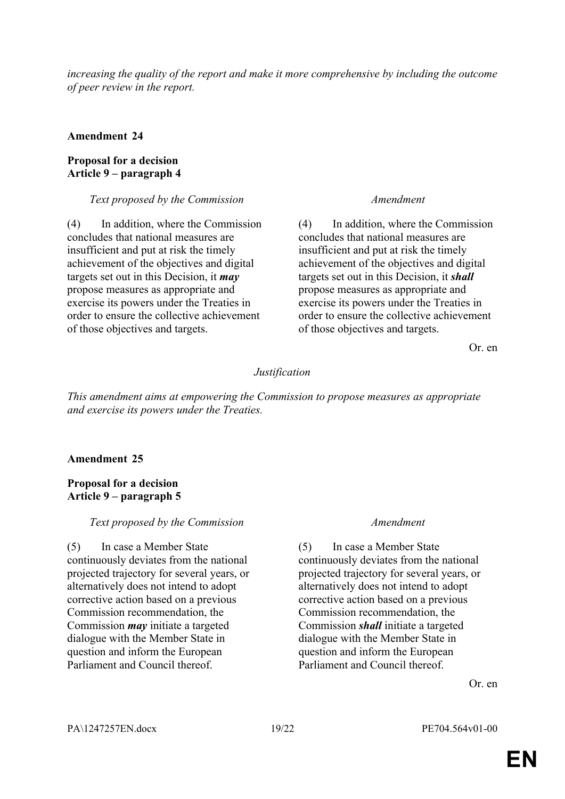*increasing the quality of the report and make it more comprehensive by including the outcome of peer review in the report.*

#### **Amendment 24**

## **Proposal for a decision Article 9 – paragraph 4**

### *Text proposed by the Commission Amendment*

(4) In addition, where the Commission concludes that national measures are insufficient and put at risk the timely achievement of the objectives and digital targets set out in this Decision, it *may* propose measures as appropriate and exercise its powers under the Treaties in order to ensure the collective achievement of those objectives and targets.

(4) In addition, where the Commission concludes that national measures are insufficient and put at risk the timely achievement of the objectives and digital targets set out in this Decision, it *shall* propose measures as appropriate and exercise its powers under the Treaties in order to ensure the collective achievement of those objectives and targets.

Or. en

## *Justification*

*This amendment aims at empowering the Commission to propose measures as appropriate and exercise its powers under the Treaties.*

## **Amendment 25**

## **Proposal for a decision Article 9 – paragraph 5**

## *Text proposed by the Commission Amendment*

(5) In case a Member State continuously deviates from the national projected trajectory for several years, or alternatively does not intend to adopt corrective action based on a previous Commission recommendation, the Commission *may* initiate a targeted dialogue with the Member State in question and inform the European Parliament and Council thereof.

(5) In case a Member State continuously deviates from the national projected trajectory for several years, or alternatively does not intend to adopt corrective action based on a previous Commission recommendation, the Commission *shall* initiate a targeted dialogue with the Member State in question and inform the European Parliament and Council thereof.

Or. en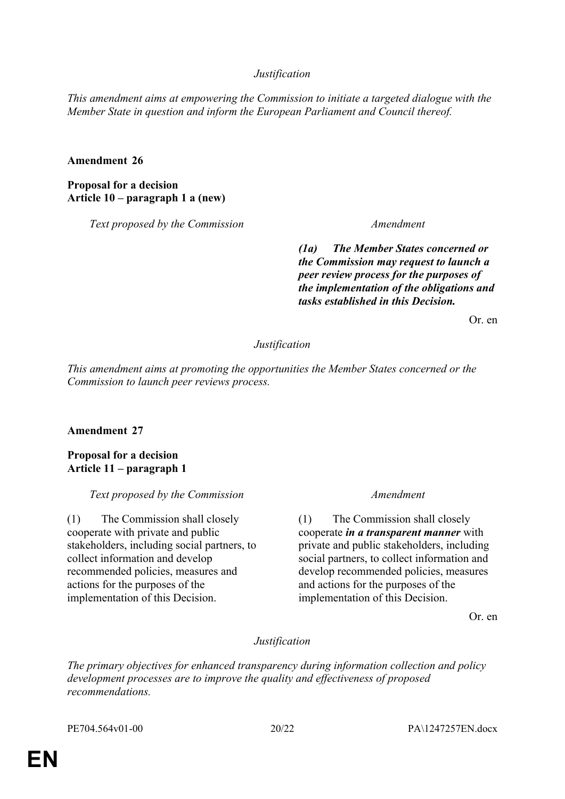# *Justification*

*This amendment aims at empowering the Commission to initiate a targeted dialogue with the Member State in question and inform the European Parliament and Council thereof.*

### **Amendment 26**

**Proposal for a decision Article 10 – paragraph 1 a (new)**

*Text proposed by the Commission Amendment*

*(1a) The Member States concerned or the Commission may request to launch a peer review process for the purposes of the implementation of the obligations and tasks established in this Decision.*

Or. en

#### *Justification*

*This amendment aims at promoting the opportunities the Member States concerned or the Commission to launch peer reviews process.*

## **Amendment 27**

**Proposal for a decision Article 11 – paragraph 1**

*Text proposed by the Commission Amendment*

(1) The Commission shall closely cooperate with private and public stakeholders, including social partners, to collect information and develop recommended policies, measures and actions for the purposes of the implementation of this Decision.

(1) The Commission shall closely cooperate *in a transparent manner* with private and public stakeholders, including social partners, to collect information and develop recommended policies, measures and actions for the purposes of the implementation of this Decision.

Or. en

## *Justification*

*The primary objectives for enhanced transparency during information collection and policy development processes are to improve the quality and effectiveness of proposed recommendations.*

PE704.564v01-00 20/22 PA\1247257EN.docx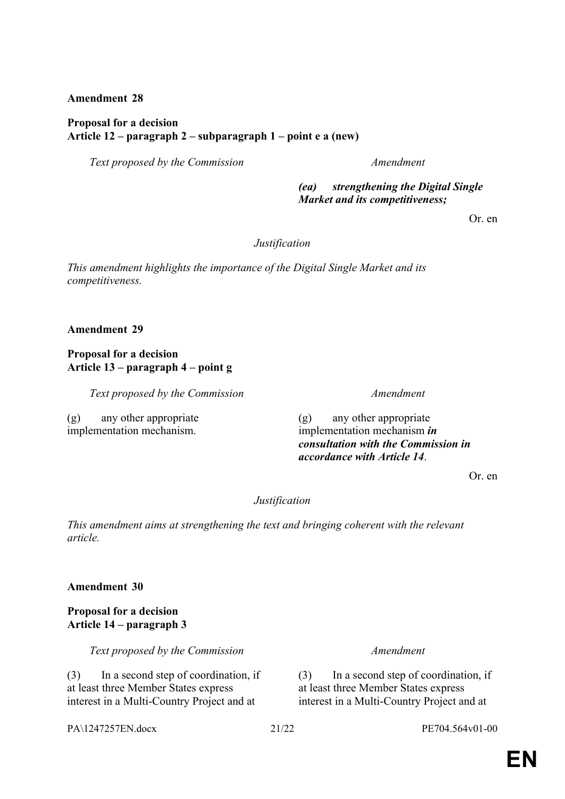**Amendment 28**

# **Proposal for a decision Article 12 – paragraph 2 – subparagraph 1 – point e a (new)**

*Text proposed by the Commission Amendment*

*(ea) strengthening the Digital Single Market and its competitiveness;*

Or. en

*Justification*

*This amendment highlights the importance of the Digital Single Market and its competitiveness.*

**Amendment 29**

# **Proposal for a decision Article 13 – paragraph 4 – point g**

*Text proposed by the Commission Amendment*

(g) any other appropriate implementation mechanism.

(g) any other appropriate implementation mechanism *in consultation with the Commission in accordance with Article 14*.

Or. en

# *Justification*

*This amendment aims at strengthening the text and bringing coherent with the relevant article.*

**Amendment 30**

# **Proposal for a decision Article 14 – paragraph 3**

*Text proposed by the Commission Amendment*

(3) In a second step of coordination, if at least three Member States express interest in a Multi-Country Project and at

(3) In a second step of coordination, if at least three Member States express interest in a Multi-Country Project and at

PA\1247257EN.docx 21/22 PE704.564v01-00